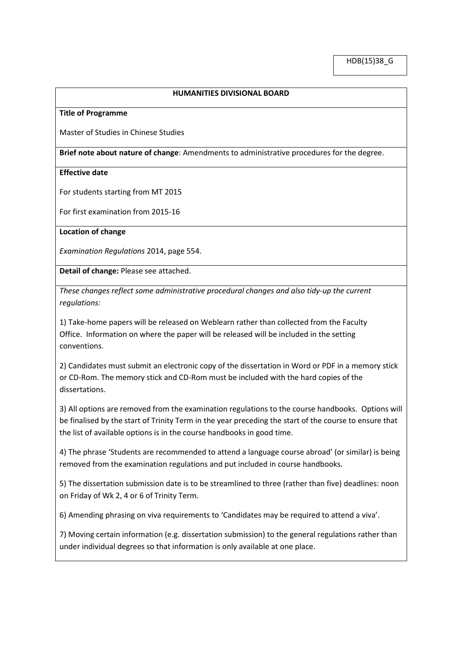## **HUMANITIES DIVISIONAL BOARD**

## **Title of Programme**

Master of Studies in Chinese Studies

**Brief note about nature of change**: Amendments to administrative procedures for the degree.

## **Effective date**

For students starting from MT 2015

For first examination from 2015-16

**Location of change**

*Examination Regulations* 2014, page 554.

**Detail of change:** Please see attached.

*These changes reflect some administrative procedural changes and also tidy-up the current regulations:*

1) Take-home papers will be released on Weblearn rather than collected from the Faculty Office. Information on where the paper will be released will be included in the setting conventions.

2) Candidates must submit an electronic copy of the dissertation in Word or PDF in a memory stick or CD-Rom. The memory stick and CD-Rom must be included with the hard copies of the dissertations.

3) All options are removed from the examination regulations to the course handbooks. Options will be finalised by the start of Trinity Term in the year preceding the start of the course to ensure that the list of available options is in the course handbooks in good time.

4) The phrase 'Students are recommended to attend a language course abroad' (or similar) is being removed from the examination regulations and put included in course handbooks.

5) The dissertation submission date is to be streamlined to three (rather than five) deadlines: noon on Friday of Wk 2, 4 or 6 of Trinity Term.

6) Amending phrasing on viva requirements to 'Candidates may be required to attend a viva'.

7) Moving certain information (e.g. dissertation submission) to the general regulations rather than under individual degrees so that information is only available at one place.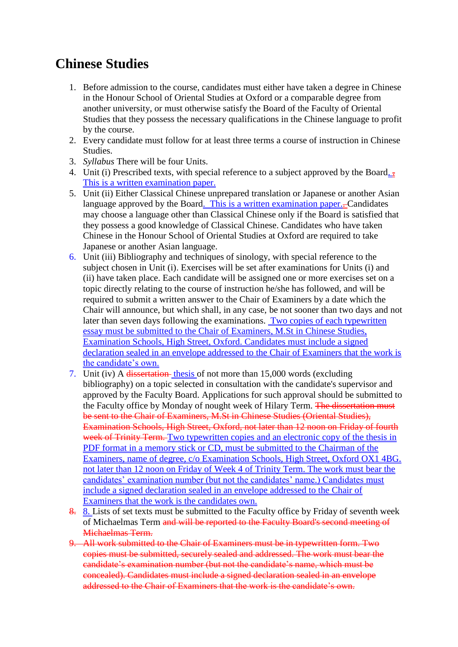## **Chinese Studies**

- 1. Before admission to the course, candidates must either have taken a degree in Chinese in the Honour School of Oriental Studies at Oxford or a comparable degree from another university, or must otherwise satisfy the Board of the Faculty of Oriental Studies that they possess the necessary qualifications in the Chinese language to profit by the course.
- 2. Every candidate must follow for at least three terms a course of instruction in Chinese Studies.
- 3. *Syllabus* There will be four Units.
- 4. Unit (i) Prescribed texts, with special reference to a subject approved by the Board. This is a written examination paper.
- 5. Unit (ii) Either Classical Chinese unprepared translation or Japanese or another Asian language approved by the Board. This is a written examination paper.-Candidates may choose a language other than Classical Chinese only if the Board is satisfied that they possess a good knowledge of Classical Chinese. Candidates who have taken Chinese in the Honour School of Oriental Studies at Oxford are required to take Japanese or another Asian language.
- 6. Unit (iii) Bibliography and techniques of sinology, with special reference to the subject chosen in Unit (i). Exercises will be set after examinations for Units (i) and (ii) have taken place. Each candidate will be assigned one or more exercises set on a topic directly relating to the course of instruction he/she has followed, and will be required to submit a written answer to the Chair of Examiners by a date which the Chair will announce, but which shall, in any case, be not sooner than two days and not later than seven days following the examinations. Two copies of each typewritten essay must be submitted to the Chair of Examiners, M.St in Chinese Studies, Examination Schools, High Street, Oxford. Candidates must include a signed declaration sealed in an envelope addressed to the Chair of Examiners that the work is the candidate's own.
- 7. Unit (iv) A dissertation thesis of not more than 15,000 words (excluding bibliography) on a topic selected in consultation with the candidate's supervisor and approved by the Faculty Board. Applications for such approval should be submitted to the Faculty office by Monday of nought week of Hilary Term. The dissertation must be sent to the Chair of Examiners, M.St in Chinese Studies (Oriental Studies), Examination Schools, High Street, Oxford, not later than 12 noon on Friday of fourth week of Trinity Term. Two typewritten copies and an electronic copy of the thesis in PDF format in a memory stick or CD, must be submitted to the Chairman of the Examiners, name of degree, c/o Examination Schools, High Street, Oxford OX1 4BG. not later than 12 noon on Friday of Week 4 of Trinity Term. The work must bear the candidates' examination number (but not the candidates' name.) Candidates must include a signed declaration sealed in an envelope addressed to the Chair of Examiners that the work is the candidates own.
- 8. 8. Lists of set texts must be submitted to the Faculty office by Friday of seventh week of Michaelmas Term and will be reported to the Faculty Board's second meeting of Michaelmas Term.
- 9. All work submitted to the Chair of Examiners must be in typewritten form. Two copies must be submitted, securely sealed and addressed. The work must bear the candidate's examination number (but not the candidate's name, which must be concealed). Candidates must include a signed declaration sealed in an envelope addressed to the Chair of Examiners that the work is the candidate's own.